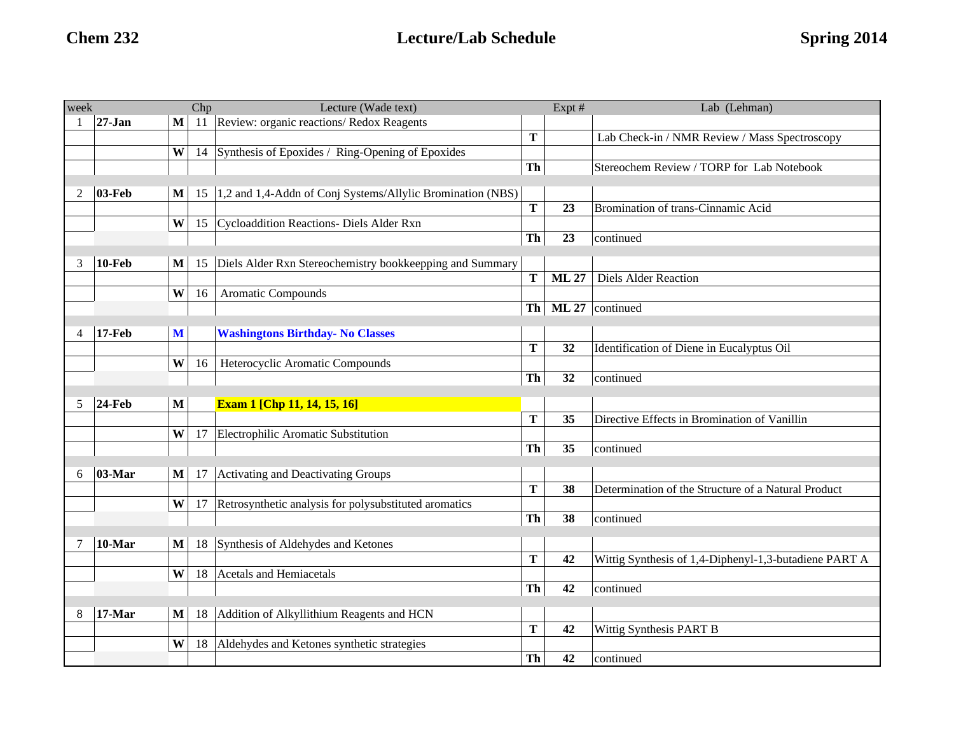| week           |            |              | Chp | Lecture (Wade text)                                        |                 | Expt #       | Lab (Lehman)                                          |
|----------------|------------|--------------|-----|------------------------------------------------------------|-----------------|--------------|-------------------------------------------------------|
|                | $27 - Jan$ | $\mathbf{M}$ | 11  | Review: organic reactions/ Redox Reagents                  |                 |              |                                                       |
|                |            |              |     |                                                            | T               |              | Lab Check-in / NMR Review / Mass Spectroscopy         |
|                |            | W            | 14  | Synthesis of Epoxides / Ring-Opening of Epoxides           |                 |              |                                                       |
|                |            |              |     |                                                            | Th              |              | Stereochem Review / TORP for Lab Notebook             |
| 2              | $03$ -Feb  | $\mathbf{M}$ | 15  | 1,2 and 1,4-Addn of Conj Systems/Allylic Bromination (NBS) |                 |              |                                                       |
|                |            |              |     |                                                            | T               | 23           | Bromination of trans-Cinnamic Acid                    |
|                |            | W            | 15  | Cycloaddition Reactions- Diels Alder Rxn                   |                 |              |                                                       |
|                |            |              |     |                                                            | Th              | 23           | continued                                             |
|                |            |              |     |                                                            |                 |              |                                                       |
| 3              | $10$ -Feb  | M            | 15  | Diels Alder Rxn Stereochemistry bookkeepping and Summary   |                 |              |                                                       |
|                |            |              |     |                                                            | T               | <b>ML 27</b> | <b>Diels Alder Reaction</b>                           |
|                |            | W            | 16  | Aromatic Compounds                                         |                 |              |                                                       |
|                |            |              |     |                                                            | Th <sub>1</sub> | <b>ML 27</b> | continued                                             |
| $\overline{4}$ | $17-Feb$   | M            |     | <b>Washingtons Birthday- No Classes</b>                    |                 |              |                                                       |
|                |            |              |     |                                                            | T               | 32           | Identification of Diene in Eucalyptus Oil             |
|                |            | W            | 16  | Heterocyclic Aromatic Compounds                            |                 |              |                                                       |
|                |            |              |     |                                                            | Th              | 32           | continued                                             |
|                |            |              |     |                                                            |                 |              |                                                       |
| 5              | $24$ -Feb  | M            |     | <b>Exam 1 [Chp 11, 14, 15, 16]</b>                         | $\mathbf T$     | 35           | Directive Effects in Bromination of Vanillin          |
|                |            | W            | 17  | Electrophilic Aromatic Substitution                        |                 |              |                                                       |
|                |            |              |     |                                                            | Th              | 35           | continued                                             |
|                |            |              |     |                                                            |                 |              |                                                       |
| 6              | 03-Mar     | $\mathbf{M}$ | 17  | Activating and Deactivating Groups                         |                 |              |                                                       |
|                |            |              |     |                                                            | T               | 38           | Determination of the Structure of a Natural Product   |
|                |            | W            | 17  | Retrosynthetic analysis for polysubstituted aromatics      |                 |              |                                                       |
|                |            |              |     |                                                            | Th              | 38           | continued                                             |
| 7              | 10-Mar     | $\bf M$      | 18  | Synthesis of Aldehydes and Ketones                         |                 |              |                                                       |
|                |            |              |     |                                                            | T               | 42           | Wittig Synthesis of 1,4-Diphenyl-1,3-butadiene PART A |
|                |            | W            | 18  | Acetals and Hemiacetals                                    |                 |              |                                                       |
|                |            |              |     |                                                            | Th              | 42           | continued                                             |
|                |            |              |     |                                                            |                 |              |                                                       |
| 8              | $17-Mar$   | $\mathbf{M}$ | 18  | Addition of Alkyllithium Reagents and HCN                  |                 |              |                                                       |
|                |            |              |     |                                                            | T               | 42           | Wittig Synthesis PART B                               |
|                |            | W            | 18  | Aldehydes and Ketones synthetic strategies                 |                 |              |                                                       |
|                |            |              |     |                                                            | Th              | 42           | continued                                             |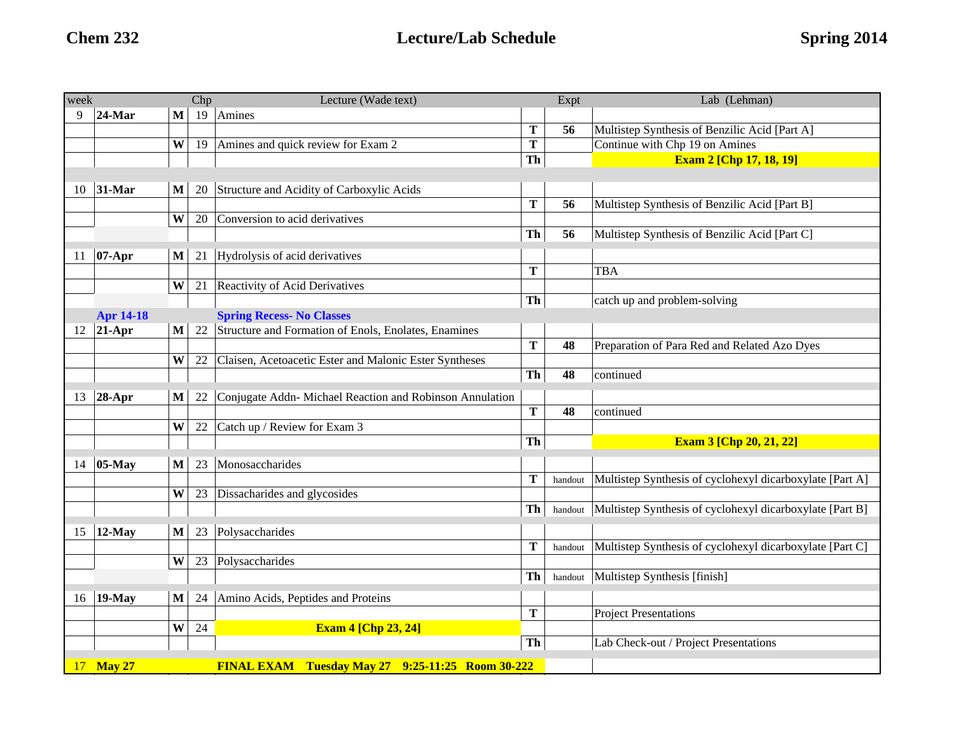| week |                                                                          |              | Chp | Lecture (Wade text)                                      |    | Expt    | Lab (Lehman)                                             |
|------|--------------------------------------------------------------------------|--------------|-----|----------------------------------------------------------|----|---------|----------------------------------------------------------|
| 9    | $24$ -Mar                                                                | M            | 19  | Amines                                                   |    |         |                                                          |
|      |                                                                          |              |     |                                                          | T  | 56      | Multistep Synthesis of Benzilic Acid [Part A]            |
|      |                                                                          | W            | 19  | Amines and quick review for Exam 2                       | T  |         | Continue with Chp 19 on Amines                           |
|      |                                                                          |              |     |                                                          | Th |         | <b>Exam 2 [Chp 17, 18, 19]</b>                           |
|      |                                                                          |              |     |                                                          |    |         |                                                          |
| 10   | 31-Mar                                                                   | $\mathbf{M}$ | 20  | Structure and Acidity of Carboxylic Acids                |    |         |                                                          |
|      |                                                                          |              |     |                                                          | T  | 56      | Multistep Synthesis of Benzilic Acid [Part B]            |
|      |                                                                          | W            | 20  | Conversion to acid derivatives                           |    |         |                                                          |
|      |                                                                          |              |     |                                                          | Th | 56      | Multistep Synthesis of Benzilic Acid [Part C]            |
| 11   | $07-Apr$                                                                 | $\mathbf{M}$ | 21  | Hydrolysis of acid derivatives                           |    |         |                                                          |
|      |                                                                          |              |     |                                                          | T  |         | <b>TBA</b>                                               |
|      |                                                                          | W            | 21  | Reactivity of Acid Derivatives                           |    |         |                                                          |
|      |                                                                          |              |     |                                                          | Th |         | catch up and problem-solving                             |
|      | <b>Apr 14-18</b>                                                         |              |     | <b>Spring Recess- No Classes</b>                         |    |         |                                                          |
| 12   | $21-Apr$                                                                 | $\mathbf M$  | 22  | Structure and Formation of Enols, Enolates, Enamines     |    |         |                                                          |
|      |                                                                          |              |     |                                                          | T  | 48      | Preparation of Para Red and Related Azo Dyes             |
|      |                                                                          | W            | 22  | Claisen, Acetoacetic Ester and Malonic Ester Syntheses   |    |         |                                                          |
|      |                                                                          |              |     |                                                          | Th | 48      | continued                                                |
|      |                                                                          | $\mathbf{M}$ | 22  |                                                          |    |         |                                                          |
| 13   | $28$ -Apr                                                                |              |     | Conjugate Addn- Michael Reaction and Robinson Annulation | T  | 48      |                                                          |
|      |                                                                          | W            | 22  | Catch up / Review for Exam 3                             |    |         | continued                                                |
|      |                                                                          |              |     |                                                          | Th |         | <b>Exam 3 [Chp 20, 21, 22]</b>                           |
|      |                                                                          |              |     |                                                          |    |         |                                                          |
| 14   | 05-May                                                                   | M            | 23  | Monosaccharides                                          |    |         |                                                          |
|      |                                                                          |              |     |                                                          | T  | handout | Multistep Synthesis of cyclohexyl dicarboxylate [Part A] |
|      |                                                                          | W            | 23  | Dissacharides and glycosides                             |    |         |                                                          |
|      |                                                                          |              |     |                                                          | Th | handout | Multistep Synthesis of cyclohexyl dicarboxylate [Part B] |
| 15   | $12$ -May                                                                | $\mathbf{M}$ | 23  | Polysaccharides                                          |    |         |                                                          |
|      |                                                                          |              |     |                                                          | т  | handout | Multistep Synthesis of cyclohexyl dicarboxylate [Part C] |
|      |                                                                          | W            | 23  | Polysaccharides                                          |    |         |                                                          |
|      |                                                                          |              |     |                                                          | Th | handout | Multistep Synthesis [finish]                             |
|      |                                                                          |              |     |                                                          |    |         |                                                          |
| 16   | $19-May$                                                                 | $\mathbf{M}$ | 24  | Amino Acids, Peptides and Proteins                       |    |         |                                                          |
|      |                                                                          |              |     |                                                          | T  |         | <b>Project Presentations</b>                             |
|      |                                                                          | W            | 24  | <b>Exam 4 [Chp 23, 24]</b>                               |    |         |                                                          |
|      |                                                                          |              |     |                                                          | Th |         | Lab Check-out / Project Presentations                    |
| 17   | <b>May 27</b><br><b>FINAL EXAM</b> Tuesday May 27 9:25-11:25 Room 30-222 |              |     |                                                          |    |         |                                                          |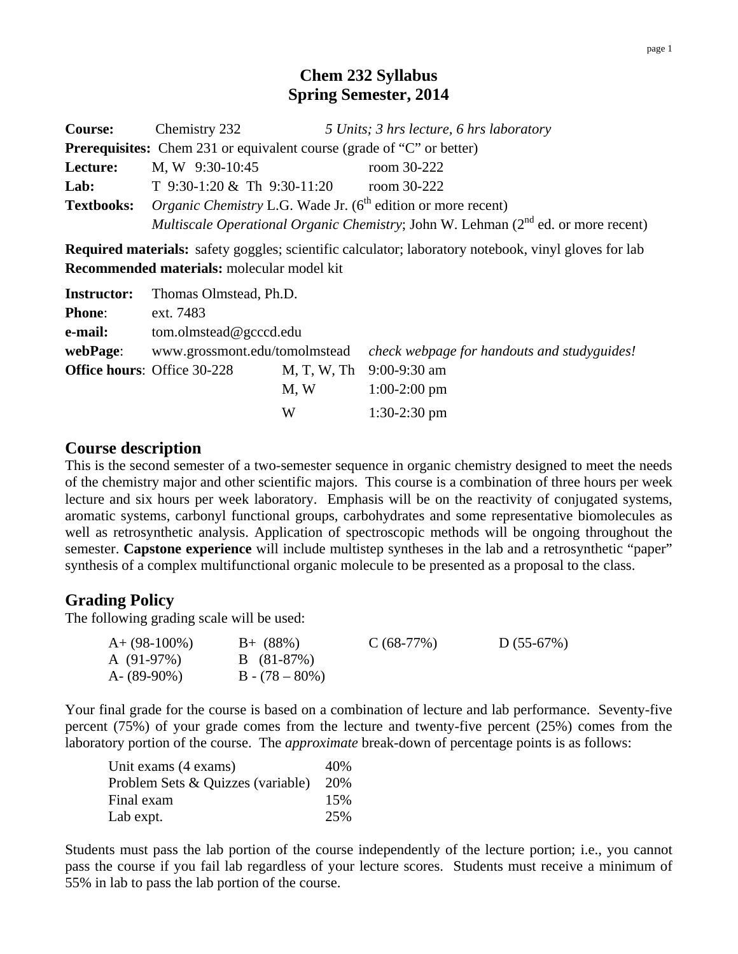## **Chem 232 Syllabus Spring Semester, 2014**

| <b>Course:</b>    | Chemistry 232                                                                                  | 5 Units; 3 hrs lecture, 6 hrs laboratory |  |
|-------------------|------------------------------------------------------------------------------------------------|------------------------------------------|--|
|                   | <b>Prerequisites:</b> Chem 231 or equivalent course (grade of "C" or better)                   |                                          |  |
| Lecture:          | M, W 9:30-10:45                                                                                | room 30-222                              |  |
| Lab:              | T $9:30-1:20 \& \text{Th } 9:30-11:20$                                                         | room 30-222                              |  |
| <b>Textbooks:</b> | <i>Organic Chemistry L.G.</i> Wade Jr. $(6^{th}$ edition or more recent)                       |                                          |  |
|                   | <i>Multiscale Operational Organic Chemistry</i> ; John W. Lehman $(2^{nd}$ ed. or more recent) |                                          |  |

**Required materials:** safety goggles; scientific calculator; laboratory notebook, vinyl gloves for lab **Recommended materials:** molecular model kit

|               | <b>Instructor:</b> Thomas Olmstead, Ph.D. |      |                                                                           |
|---------------|-------------------------------------------|------|---------------------------------------------------------------------------|
| <b>Phone:</b> | ext. 7483                                 |      |                                                                           |
| e-mail:       | tom.olmstead@gcccd.edu                    |      |                                                                           |
| webPage:      |                                           |      | www.grossmont.edu/tomolmstead check webpage for handouts and studyguides! |
|               | <b>Office hours:</b> Office 30-228        |      | M, T, W, Th 9:00-9:30 am                                                  |
|               |                                           | M, W | $1:00-2:00$ pm                                                            |
|               |                                           | W    | $1:30-2:30$ pm                                                            |

#### **Course description**

This is the second semester of a two-semester sequence in organic chemistry designed to meet the needs of the chemistry major and other scientific majors. This course is a combination of three hours per week lecture and six hours per week laboratory. Emphasis will be on the reactivity of conjugated systems, aromatic systems, carbonyl functional groups, carbohydrates and some representative biomolecules as well as retrosynthetic analysis. Application of spectroscopic methods will be ongoing throughout the semester. **Capstone experience** will include multistep syntheses in the lab and a retrosynthetic "paper" synthesis of a complex multifunctional organic molecule to be presented as a proposal to the class.

#### **Grading Policy**

The following grading scale will be used:

| $A+ (98-100\%)$ | $B+ (88%)$        | $C(68-77%)$ | $D(55-67%)$ |
|-----------------|-------------------|-------------|-------------|
| A $(91-97%)$    | $B(81-87%)$       |             |             |
| A- $(89-90\%)$  | $B - (78 - 80\%)$ |             |             |

Your final grade for the course is based on a combination of lecture and lab performance. Seventy-five percent (75%) of your grade comes from the lecture and twenty-five percent (25%) comes from the laboratory portion of the course. The *approximate* break-down of percentage points is as follows:

| Unit exams (4 exams)              | 40%  |
|-----------------------------------|------|
| Problem Sets & Quizzes (variable) | 20\% |
| Final exam                        | 15%  |
| Lab expt.                         | 25%  |

Students must pass the lab portion of the course independently of the lecture portion; i.e., you cannot pass the course if you fail lab regardless of your lecture scores. Students must receive a minimum of 55% in lab to pass the lab portion of the course.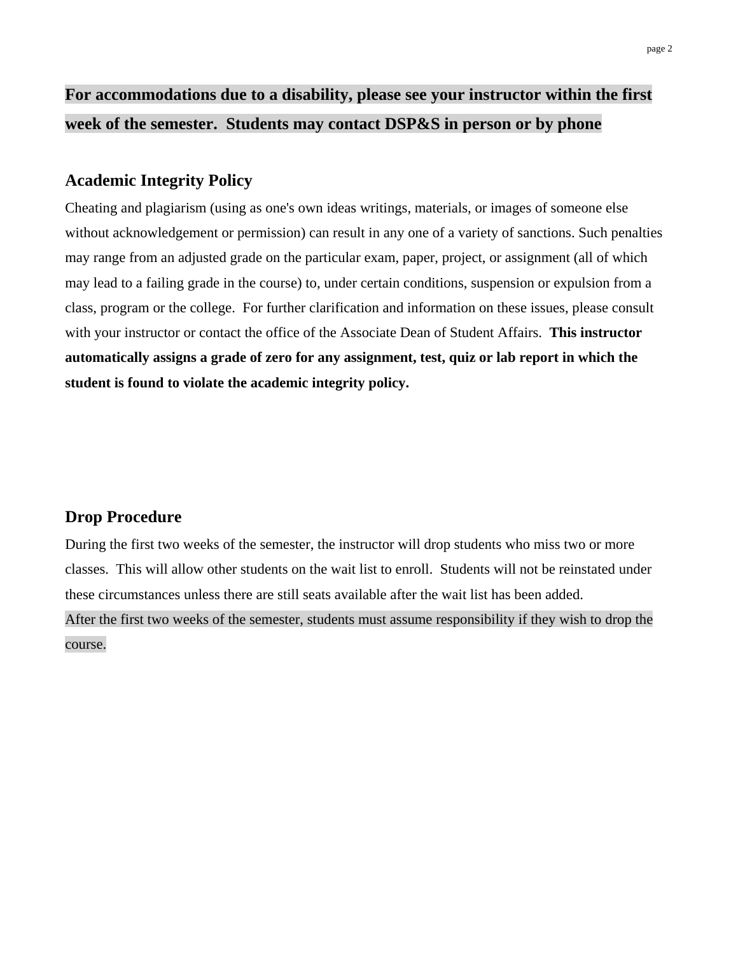# **For accommodations due to a disability, please see your instructor within the first week of the semester. Students may contact DSP&S in person or by phone**

#### **Academic Integrity Policy**

Cheating and plagiarism (using as one's own ideas writings, materials, or images of someone else without acknowledgement or permission) can result in any one of a variety of sanctions. Such penalties may range from an adjusted grade on the particular exam, paper, project, or assignment (all of which may lead to a failing grade in the course) to, under certain conditions, suspension or expulsion from a class, program or the college. For further clarification and information on these issues, please consult with your instructor or contact the office of the Associate Dean of Student Affairs. **This instructor automatically assigns a grade of zero for any assignment, test, quiz or lab report in which the student is found to violate the academic integrity policy.**

## **Drop Procedure**

During the first two weeks of the semester, the instructor will drop students who miss two or more classes. This will allow other students on the wait list to enroll. Students will not be reinstated under these circumstances unless there are still seats available after the wait list has been added.

After the first two weeks of the semester, students must assume responsibility if they wish to drop the course.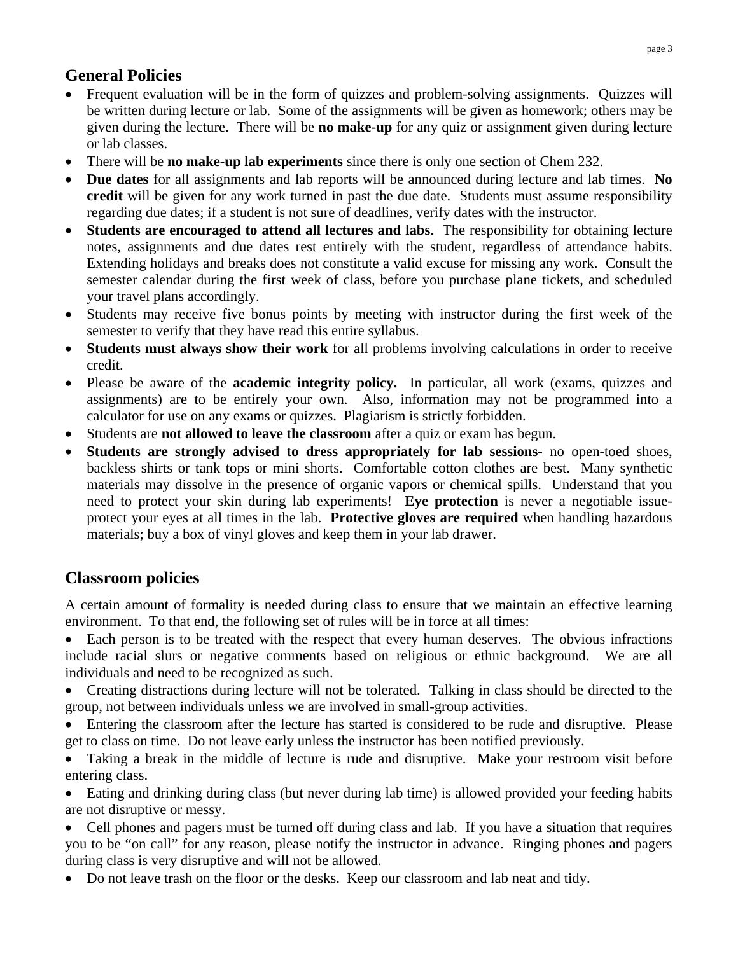# **General Policies**

- Frequent evaluation will be in the form of quizzes and problem-solving assignments. Quizzes will be written during lecture or lab. Some of the assignments will be given as homework; others may be given during the lecture. There will be **no make-up** for any quiz or assignment given during lecture or lab classes.
- There will be **no make-up lab experiments** since there is only one section of Chem 232.
- **Due dates** for all assignments and lab reports will be announced during lecture and lab times. **No credit** will be given for any work turned in past the due date. Students must assume responsibility regarding due dates; if a student is not sure of deadlines, verify dates with the instructor.
- **Students are encouraged to attend all lectures and labs**. The responsibility for obtaining lecture notes, assignments and due dates rest entirely with the student, regardless of attendance habits. Extending holidays and breaks does not constitute a valid excuse for missing any work. Consult the semester calendar during the first week of class, before you purchase plane tickets, and scheduled your travel plans accordingly.
- Students may receive five bonus points by meeting with instructor during the first week of the semester to verify that they have read this entire syllabus.
- **Students must always show their work** for all problems involving calculations in order to receive credit.
- Please be aware of the **academic integrity policy.** In particular, all work (exams, quizzes and assignments) are to be entirely your own. Also, information may not be programmed into a calculator for use on any exams or quizzes. Plagiarism is strictly forbidden.
- Students are **not allowed to leave the classroom** after a quiz or exam has begun.
- **Students are strongly advised to dress appropriately for lab sessions** no open-toed shoes, backless shirts or tank tops or mini shorts. Comfortable cotton clothes are best. Many synthetic materials may dissolve in the presence of organic vapors or chemical spills. Understand that you need to protect your skin during lab experiments! **Eye protection** is never a negotiable issueprotect your eyes at all times in the lab. **Protective gloves are required** when handling hazardous materials; buy a box of vinyl gloves and keep them in your lab drawer.

# **Classroom policies**

A certain amount of formality is needed during class to ensure that we maintain an effective learning environment. To that end, the following set of rules will be in force at all times:

• Each person is to be treated with the respect that every human deserves. The obvious infractions include racial slurs or negative comments based on religious or ethnic background. We are all individuals and need to be recognized as such.

- Creating distractions during lecture will not be tolerated. Talking in class should be directed to the group, not between individuals unless we are involved in small-group activities.
- Entering the classroom after the lecture has started is considered to be rude and disruptive. Please get to class on time. Do not leave early unless the instructor has been notified previously.

 Taking a break in the middle of lecture is rude and disruptive. Make your restroom visit before entering class.

 Eating and drinking during class (but never during lab time) is allowed provided your feeding habits are not disruptive or messy.

 Cell phones and pagers must be turned off during class and lab. If you have a situation that requires you to be "on call" for any reason, please notify the instructor in advance. Ringing phones and pagers during class is very disruptive and will not be allowed.

• Do not leave trash on the floor or the desks. Keep our classroom and lab neat and tidy.